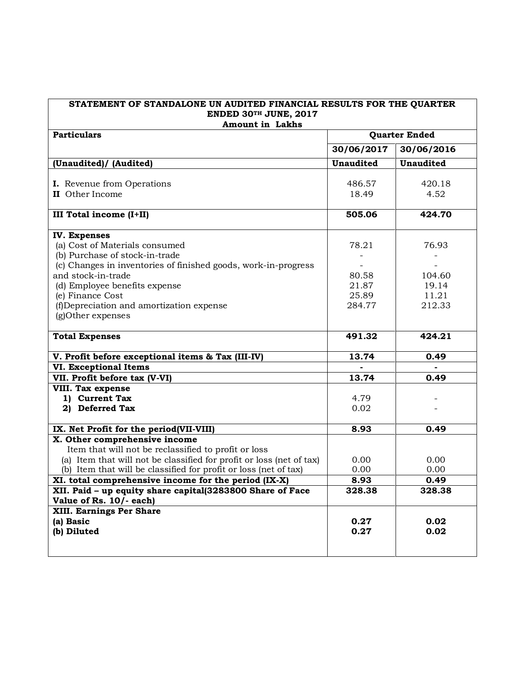| STATEMENT OF STANDALONE UN AUDITED FINANCIAL RESULTS FOR THE QUARTER<br>ENDED 30TH JUNE, 2017 |                      |                  |  |
|-----------------------------------------------------------------------------------------------|----------------------|------------------|--|
| <b>Amount in Lakhs</b>                                                                        |                      |                  |  |
| <b>Particulars</b>                                                                            | <b>Quarter Ended</b> |                  |  |
|                                                                                               | 30/06/2017           | 30/06/2016       |  |
| (Unaudited)/ (Audited)                                                                        | <b>Unaudited</b>     | <b>Unaudited</b> |  |
|                                                                                               |                      |                  |  |
| I. Revenue from Operations                                                                    | 486.57               | 420.18           |  |
| II Other Income                                                                               | 18.49                | 4.52             |  |
|                                                                                               |                      |                  |  |
| <b>III Total income (I+II)</b>                                                                | 505.06               | 424.70           |  |
| <b>IV. Expenses</b>                                                                           |                      |                  |  |
| (a) Cost of Materials consumed                                                                | 78.21                | 76.93            |  |
| (b) Purchase of stock-in-trade                                                                |                      |                  |  |
| (c) Changes in inventories of finished goods, work-in-progress                                |                      |                  |  |
| and stock-in-trade                                                                            | 80.58                | 104.60           |  |
| (d) Employee benefits expense                                                                 | 21.87                | 19.14            |  |
| (e) Finance Cost                                                                              | 25.89                | 11.21            |  |
| (f)Depreciation and amortization expense                                                      | 284.77               | 212.33           |  |
| (g)Other expenses                                                                             |                      |                  |  |
|                                                                                               |                      |                  |  |
| <b>Total Expenses</b>                                                                         | 491.32               | 424.21           |  |
| V. Profit before exceptional items & Tax (III-IV)                                             | 13.74                | 0.49             |  |
| <b>VI. Exceptional Items</b>                                                                  |                      |                  |  |
| VII. Profit before tax (V-VI)                                                                 | 13.74                | 0.49             |  |
| <b>VIII. Tax expense</b>                                                                      |                      |                  |  |
| 1) Current Tax                                                                                | 4.79                 |                  |  |
| 2) Deferred Tax                                                                               | 0.02                 |                  |  |
|                                                                                               |                      |                  |  |
| IX. Net Profit for the period(VII-VIII)                                                       | 8.93                 | 0.49             |  |
| X. Other comprehensive income                                                                 |                      |                  |  |
| Item that will not be reclassified to profit or loss                                          |                      |                  |  |
| (a) Item that will not be classified for profit or loss (net of tax)                          | 0.00                 | 0.00             |  |
| (b) Item that will be classified for profit or loss (net of tax)                              | 0.00                 | 0.00             |  |
| XI. total comprehensive income for the period (IX-X)                                          | 8.93                 | 0.49             |  |
| XII. Paid - up equity share capital(3283800 Share of Face                                     | 328.38               | 328.38           |  |
| Value of Rs. 10/- each)                                                                       |                      |                  |  |
| XIII. Earnings Per Share                                                                      |                      |                  |  |
| (a) Basic                                                                                     | 0.27                 | 0.02             |  |
| (b) Diluted                                                                                   | 0.27                 | 0.02             |  |
|                                                                                               |                      |                  |  |